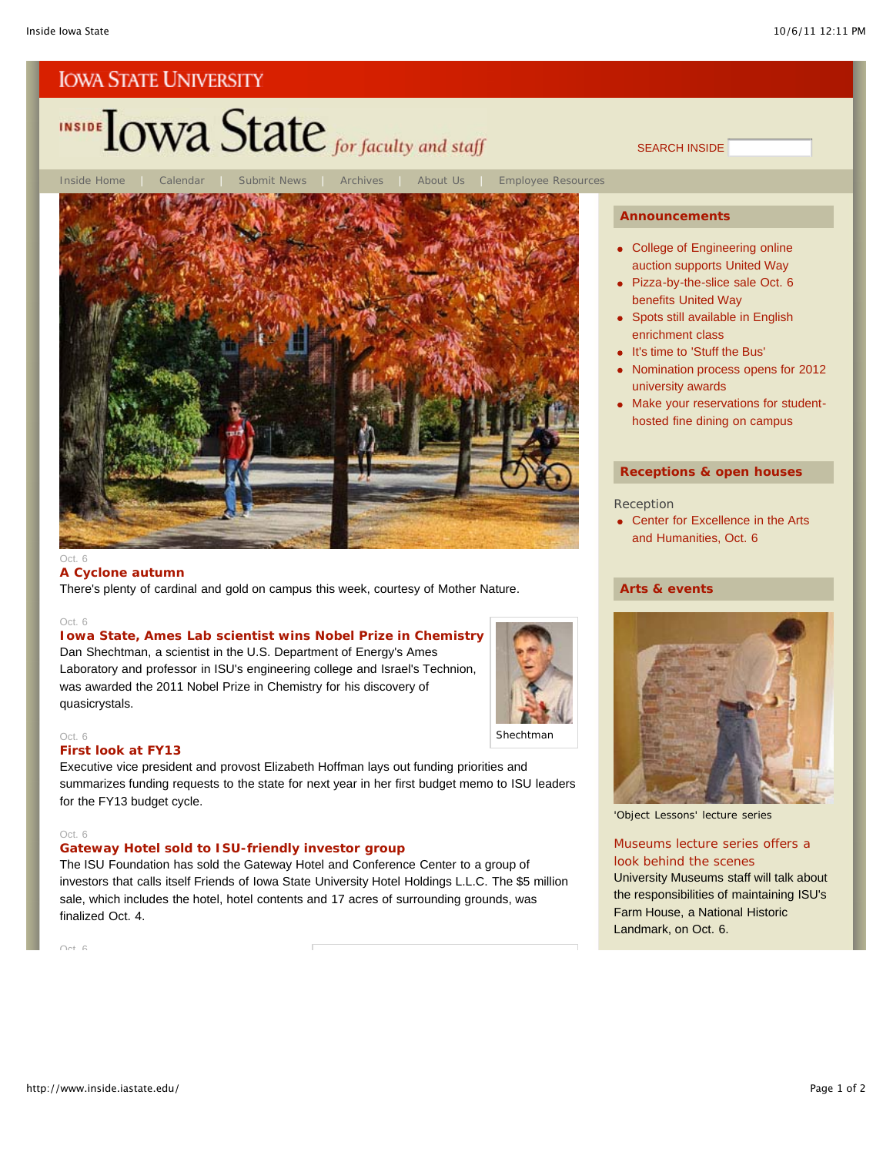# INSIDE TOWA State for faculty and staff



#### **A Cyclone autumn**

There's plenty of cardinal and gold on campus this week, courtesy of Mother Nature.

#### Oct. 6

#### **Iowa State, Ames Lab scientist wins Nobel Prize in Chemistry**

Dan Shechtman, a scientist in the U.S. Department of Energy's Ames Laboratory and professor in ISU's engineering college and Israel's Technion, was awarded the 2011 Nobel Prize in Chemistry for his discovery of quasicrystals.



#### Oct. 6 **First look at FY13**

Executive vice president and provost Elizabeth Hoffman lays out funding priorities and summarizes funding requests to the state for next year in her first budget memo to ISU leaders for the FY13 budget cycle.

#### Oct. 6

#### **Gateway Hotel sold to ISU-friendly investor group**

The ISU Foundation has sold the Gateway Hotel and Conference Center to a group of investors that calls itself Friends of Iowa State University Hotel Holdings L.L.C. The \$5 million sale, which includes the hotel, hotel contents and 17 acres of surrounding grounds, was finalized Oct. 4.

Oct 6

#### **Announcements**

SEARCH INSIDE

- College of Engineering online auction supports United Way
- Pizza-by-the-slice sale Oct. 6 benefits United Way
- Spots still available in English enrichment class
- It's time to 'Stuff the Bus'
- Nomination process opens for 2012 university awards
- Make your reservations for studenthosted fine dining on campus

#### **Receptions & open houses**

#### Reception

• Center for Excellence in the Arts and Humanities, Oct. 6

#### **Arts & events**



'Object Lessons' lecture series

#### Museums lecture series offers a look behind the scenes

University Museums staff will talk about the responsibilities of maintaining ISU's Farm House, a National Historic Landmark, on Oct. 6.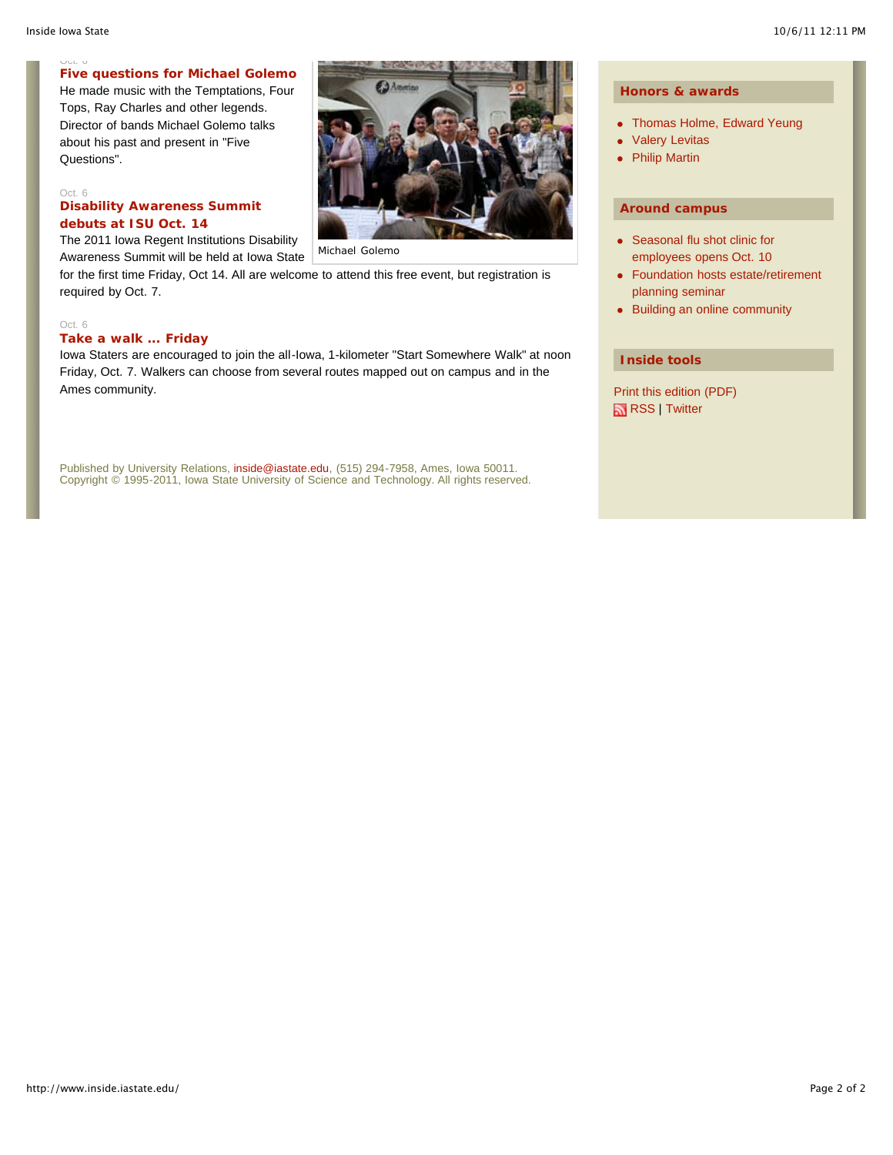#### Oct. 6 **Five questions for Michael Golemo**

He made music with the Temptations, Four Tops, Ray Charles and other legends. Director of bands Michael Golemo talks about his past and present in "Five Questions".

#### Oct. 6 **Disability Awareness Summit debuts at ISU Oct. 14**

The 2011 Iowa Regent Institutions Disability

Awareness Summit will be held at Iowa State for the first time Friday, Oct 14. All are welcome to attend this free event, but registration is required by Oct. 7.

#### Oct. 6

#### **Take a walk ... Friday**

Iowa Staters are encouraged to join the all-Iowa, 1-kilometer "Start Somewhere Walk" at noon Friday, Oct. 7. Walkers can choose from several routes mapped out on campus and in the Ames community.

Published by University Relations, inside@iastate.edu, (515) 294-7958, Ames, Iowa 50011. Copyright © 1995-2011, Iowa State University of Science and Technology. All rights reserved.

#### **Honors & awards**

- Thomas Holme, Edward Yeung
- Valery Levitas ò
- Philip Martin

#### **Around campus**

- Seasonal flu shot clinic for employees opens Oct. 10
- Foundation hosts estate/retirement planning seminar
- Building an online community

#### **Inside tools**

Print this edition (PDF) RSS | Twitter

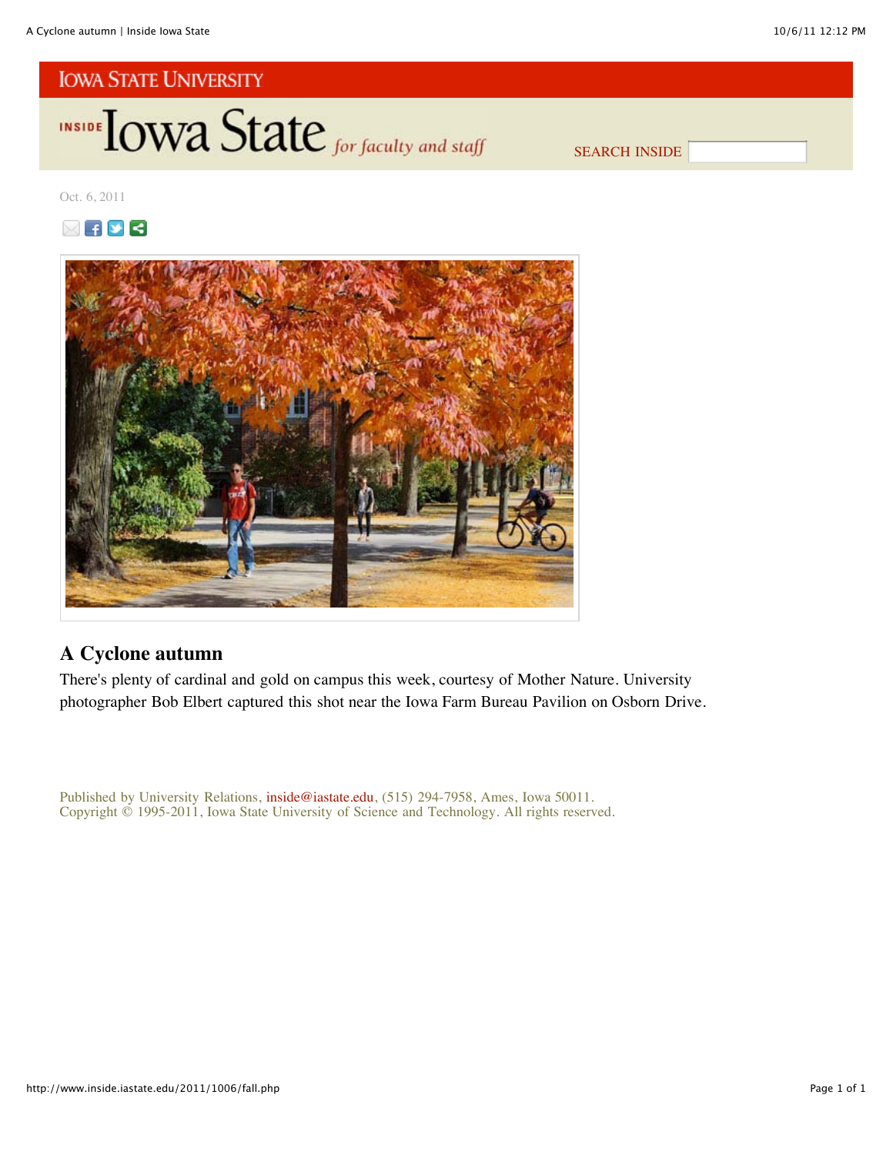

SEARCH INSIDE

Oct. 6, 2011





## **A Cyclone autumn**

There's plenty of cardinal and gold on campus this week, courtesy of Mother Nature. University photographer Bob Elbert captured this shot near the Iowa Farm Bureau Pavilion on Osborn Drive.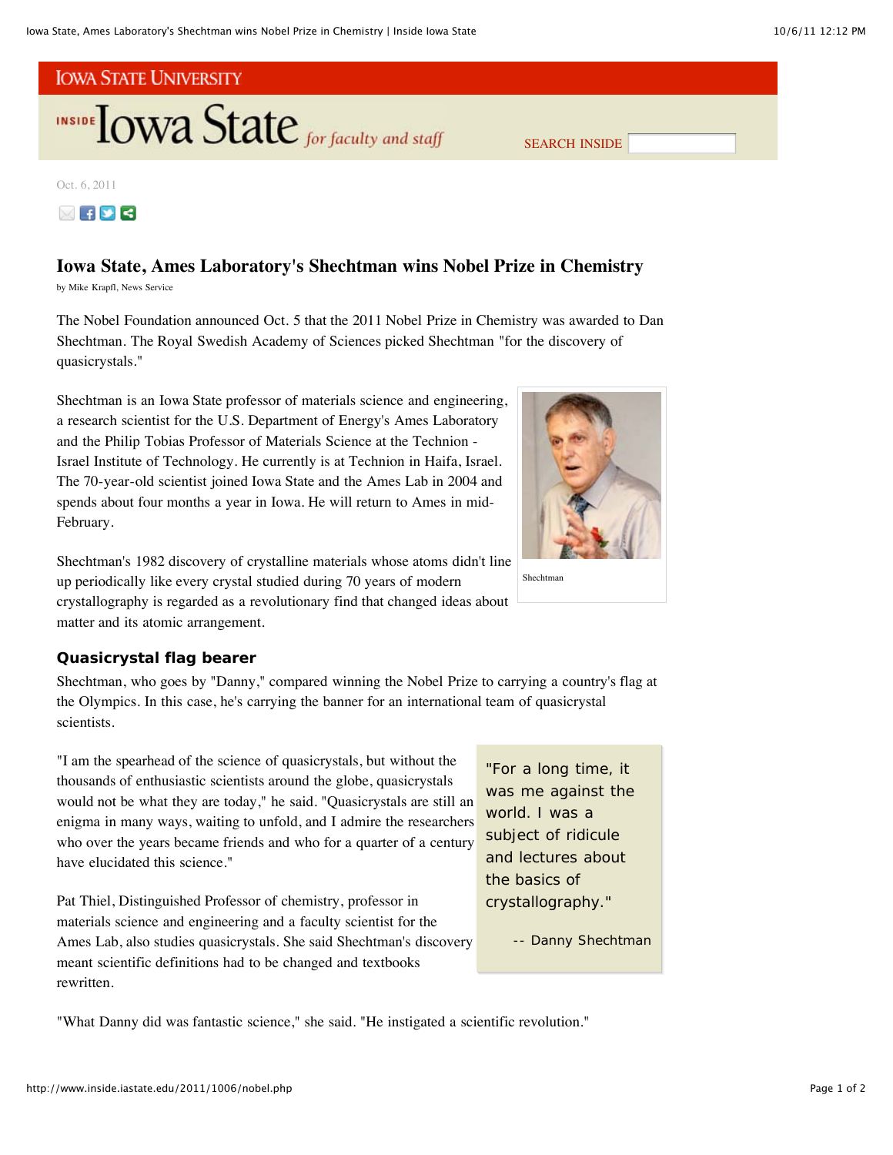

Oct. 6, 2011



## **Iowa State, Ames Laboratory's Shechtman wins Nobel Prize in Chemistry**

by Mike Krapfl, News Service

The Nobel Foundation announced Oct. 5 that the 2011 Nobel Prize in Chemistry was awarded to Dan Shechtman. The Royal Swedish Academy of Sciences picked Shechtman "for the discovery of quasicrystals."

Shechtman is an Iowa State professor of materials science and engineering, a research scientist for the U.S. Department of Energy's Ames Laboratory and the Philip Tobias Professor of Materials Science at the Technion - Israel Institute of Technology. He currently is at Technion in Haifa, Israel. The 70-year-old scientist joined Iowa State and the Ames Lab in 2004 and spends about four months a year in Iowa. He will return to Ames in mid-February.



Shechtman's 1982 discovery of crystalline materials whose atoms didn't line up periodically like every crystal studied during 70 years of modern crystallography is regarded as a revolutionary find that changed ideas about matter and its atomic arrangement.

#### **Quasicrystal flag bearer**

Shechtman, who goes by "Danny," compared winning the Nobel Prize to carrying a country's flag at the Olympics. In this case, he's carrying the banner for an international team of quasicrystal scientists.

"I am the spearhead of the science of quasicrystals, but without the thousands of enthusiastic scientists around the globe, quasicrystals would not be what they are today," he said. "Quasicrystals are still an enigma in many ways, waiting to unfold, and I admire the researchers who over the years became friends and who for a quarter of a century have elucidated this science."

Pat Thiel, Distinguished Professor of chemistry, professor in materials science and engineering and a faculty scientist for the Ames Lab, also studies quasicrystals. She said Shechtman's discovery meant scientific definitions had to be changed and textbooks rewritten.

"For a long time, it was me against the world. I was a subject of ridicule and lectures about the basics of crystallography."

-- Danny Shechtman

"What Danny did was fantastic science," she said. "He instigated a scientific revolution."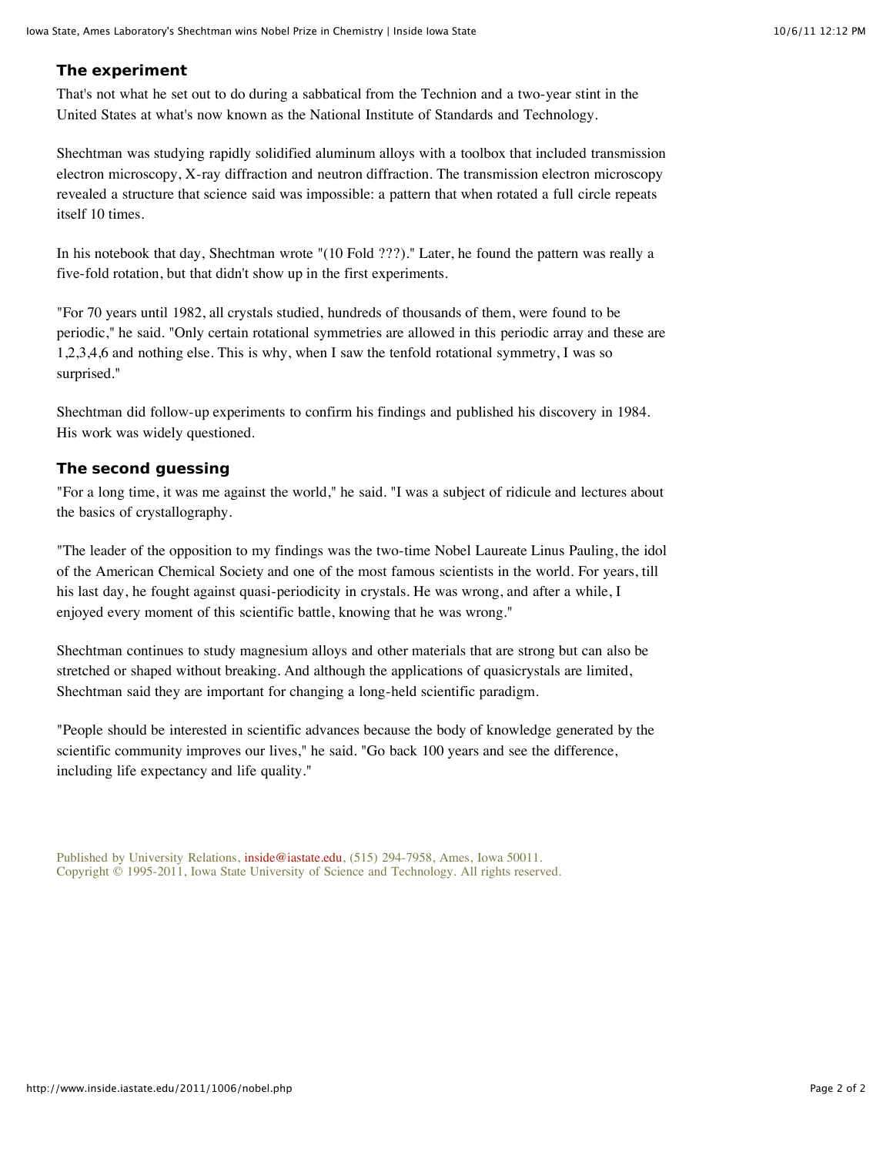### **The experiment**

That's not what he set out to do during a sabbatical from the Technion and a two-year stint in the United States at what's now known as the National Institute of Standards and Technology.

Shechtman was studying rapidly solidified aluminum alloys with a toolbox that included transmission electron microscopy, X-ray diffraction and neutron diffraction. The transmission electron microscopy revealed a structure that science said was impossible: a pattern that when rotated a full circle repeats itself 10 times.

In his notebook that day, Shechtman wrote "(10 Fold ???)." Later, he found the pattern was really a five-fold rotation, but that didn't show up in the first experiments.

"For 70 years until 1982, all crystals studied, hundreds of thousands of them, were found to be periodic," he said. "Only certain rotational symmetries are allowed in this periodic array and these are 1,2,3,4,6 and nothing else. This is why, when I saw the tenfold rotational symmetry, I was so surprised."

Shechtman did follow-up experiments to confirm his findings and published his discovery in 1984. His work was widely questioned.

#### **The second guessing**

"For a long time, it was me against the world," he said. "I was a subject of ridicule and lectures about the basics of crystallography.

"The leader of the opposition to my findings was the two-time Nobel Laureate Linus Pauling, the idol of the American Chemical Society and one of the most famous scientists in the world. For years, till his last day, he fought against quasi-periodicity in crystals. He was wrong, and after a while, I enjoyed every moment of this scientific battle, knowing that he was wrong."

Shechtman continues to study magnesium alloys and other materials that are strong but can also be stretched or shaped without breaking. And although the applications of quasicrystals are limited, Shechtman said they are important for changing a long-held scientific paradigm.

"People should be interested in scientific advances because the body of knowledge generated by the scientific community improves our lives," he said. "Go back 100 years and see the difference, including life expectancy and life quality."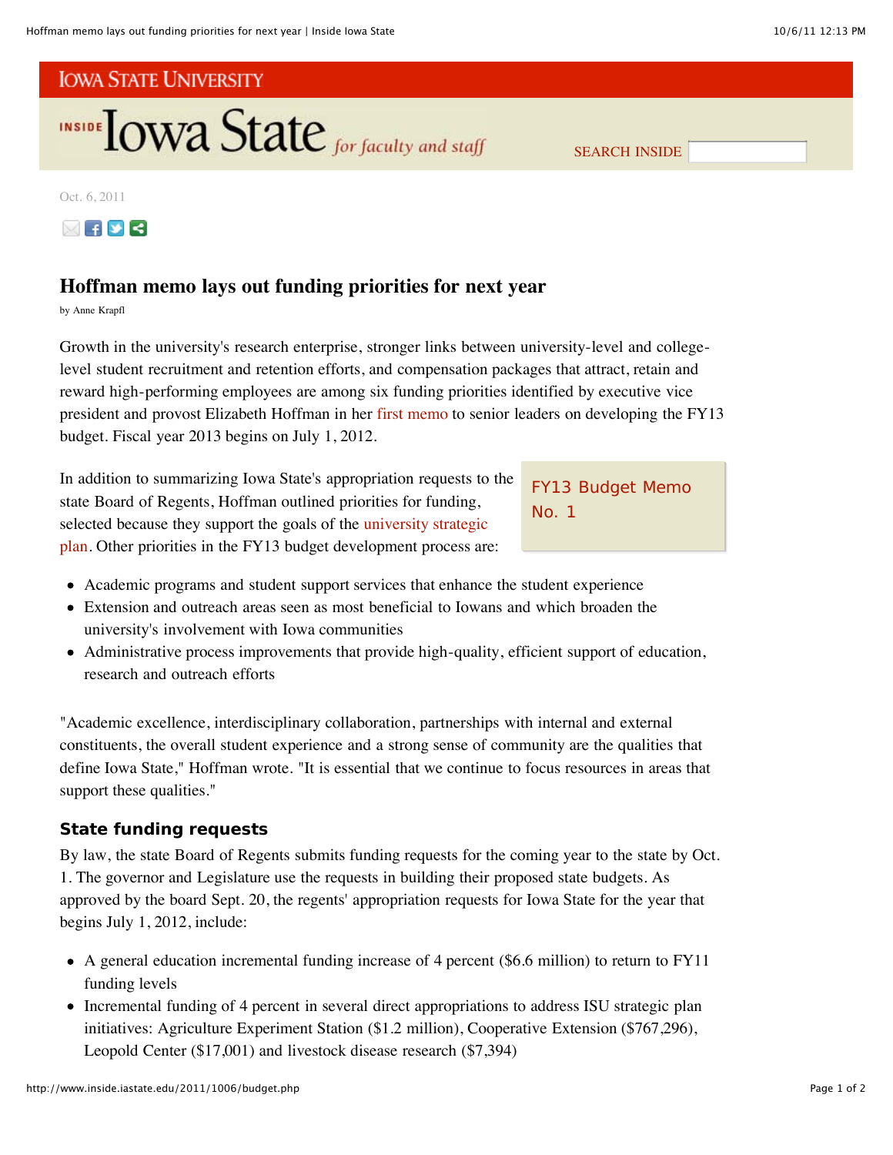

SEARCH INSIDE

Oct. 6, 2011



## **Hoffman memo lays out funding priorities for next year**

by Anne Krapfl

Growth in the university's research enterprise, stronger links between university-level and collegelevel student recruitment and retention efforts, and compensation packages that attract, retain and reward high-performing employees are among six funding priorities identified by executive vice president and provost Elizabeth Hoffman in her first memo to senior leaders on developing the FY13 budget. Fiscal year 2013 begins on July 1, 2012.

In addition to summarizing Iowa State's appropriation requests to the state Board of Regents, Hoffman outlined priorities for funding, selected because they support the goals of the university strategic plan. Other priorities in the FY13 budget development process are:

FY13 Budget Memo No. 1

- Academic programs and student support services that enhance the student experience
- Extension and outreach areas seen as most beneficial to Iowans and which broaden the university's involvement with Iowa communities
- Administrative process improvements that provide high-quality, efficient support of education, research and outreach efforts

"Academic excellence, interdisciplinary collaboration, partnerships with internal and external constituents, the overall student experience and a strong sense of community are the qualities that define Iowa State," Hoffman wrote. "It is essential that we continue to focus resources in areas that support these qualities."

## **State funding requests**

By law, the state Board of Regents submits funding requests for the coming year to the state by Oct. 1. The governor and Legislature use the requests in building their proposed state budgets. As approved by the board Sept. 20, the regents' appropriation requests for Iowa State for the year that begins July 1, 2012, include:

- A general education incremental funding increase of 4 percent (\$6.6 million) to return to FY11 funding levels
- Incremental funding of 4 percent in several direct appropriations to address ISU strategic plan initiatives: Agriculture Experiment Station (\$1.2 million), Cooperative Extension (\$767,296), Leopold Center (\$17,001) and livestock disease research (\$7,394)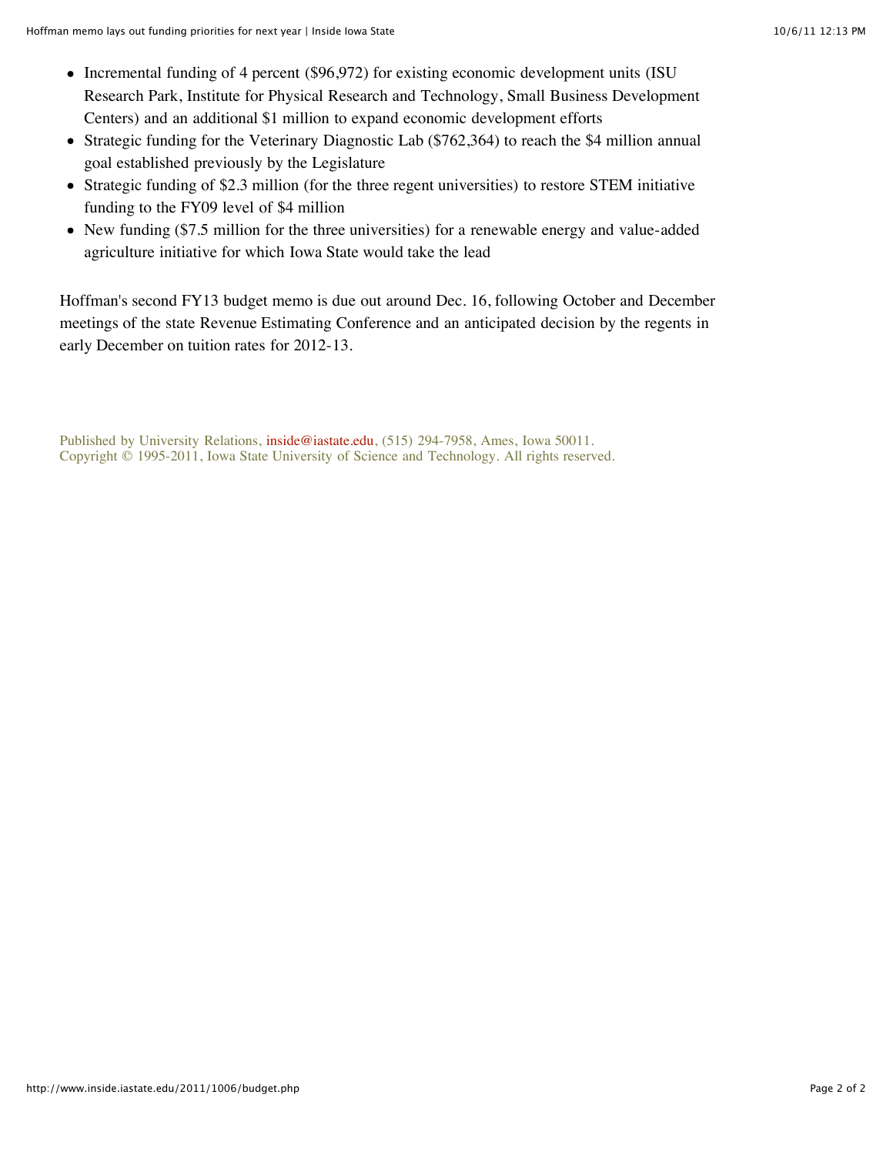- Incremental funding of 4 percent (\$96,972) for existing economic development units (ISU) Research Park, Institute for Physical Research and Technology, Small Business Development Centers) and an additional \$1 million to expand economic development efforts
- Strategic funding for the Veterinary Diagnostic Lab (\$762,364) to reach the \$4 million annual goal established previously by the Legislature
- Strategic funding of \$2.3 million (for the three regent universities) to restore STEM initiative funding to the FY09 level of \$4 million
- New funding (\$7.5 million for the three universities) for a renewable energy and value-added agriculture initiative for which Iowa State would take the lead

Hoffman's second FY13 budget memo is due out around Dec. 16, following October and December meetings of the state Revenue Estimating Conference and an anticipated decision by the regents in early December on tuition rates for 2012-13.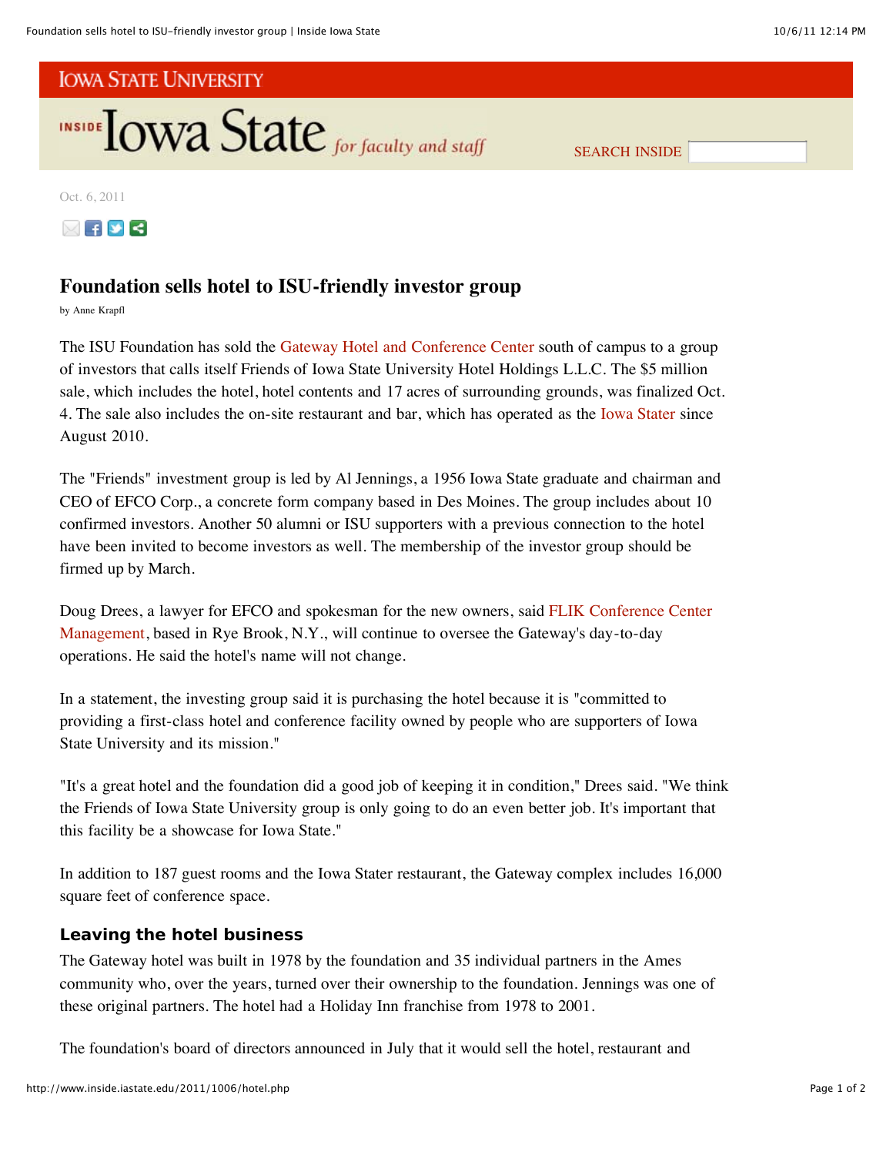

SEARCH INSIDE

Oct. 6, 2011



## **Foundation sells hotel to ISU-friendly investor group**

by Anne Krapfl

The ISU Foundation has sold the Gateway Hotel and Conference Center south of campus to a group of investors that calls itself Friends of Iowa State University Hotel Holdings L.L.C. The \$5 million sale, which includes the hotel, hotel contents and 17 acres of surrounding grounds, was finalized Oct. 4. The sale also includes the on-site restaurant and bar, which has operated as the Iowa Stater since August 2010.

The "Friends" investment group is led by Al Jennings, a 1956 Iowa State graduate and chairman and CEO of EFCO Corp., a concrete form company based in Des Moines. The group includes about 10 confirmed investors. Another 50 alumni or ISU supporters with a previous connection to the hotel have been invited to become investors as well. The membership of the investor group should be firmed up by March.

Doug Drees, a lawyer for EFCO and spokesman for the new owners, said FLIK Conference Center Management, based in Rye Brook, N.Y., will continue to oversee the Gateway's day-to-day operations. He said the hotel's name will not change.

In a statement, the investing group said it is purchasing the hotel because it is "committed to providing a first-class hotel and conference facility owned by people who are supporters of Iowa State University and its mission."

"It's a great hotel and the foundation did a good job of keeping it in condition," Drees said. "We think the Friends of Iowa State University group is only going to do an even better job. It's important that this facility be a showcase for Iowa State."

In addition to 187 guest rooms and the Iowa Stater restaurant, the Gateway complex includes 16,000 square feet of conference space.

## **Leaving the hotel business**

The Gateway hotel was built in 1978 by the foundation and 35 individual partners in the Ames community who, over the years, turned over their ownership to the foundation. Jennings was one of these original partners. The hotel had a Holiday Inn franchise from 1978 to 2001.

The foundation's board of directors announced in July that it would sell the hotel, restaurant and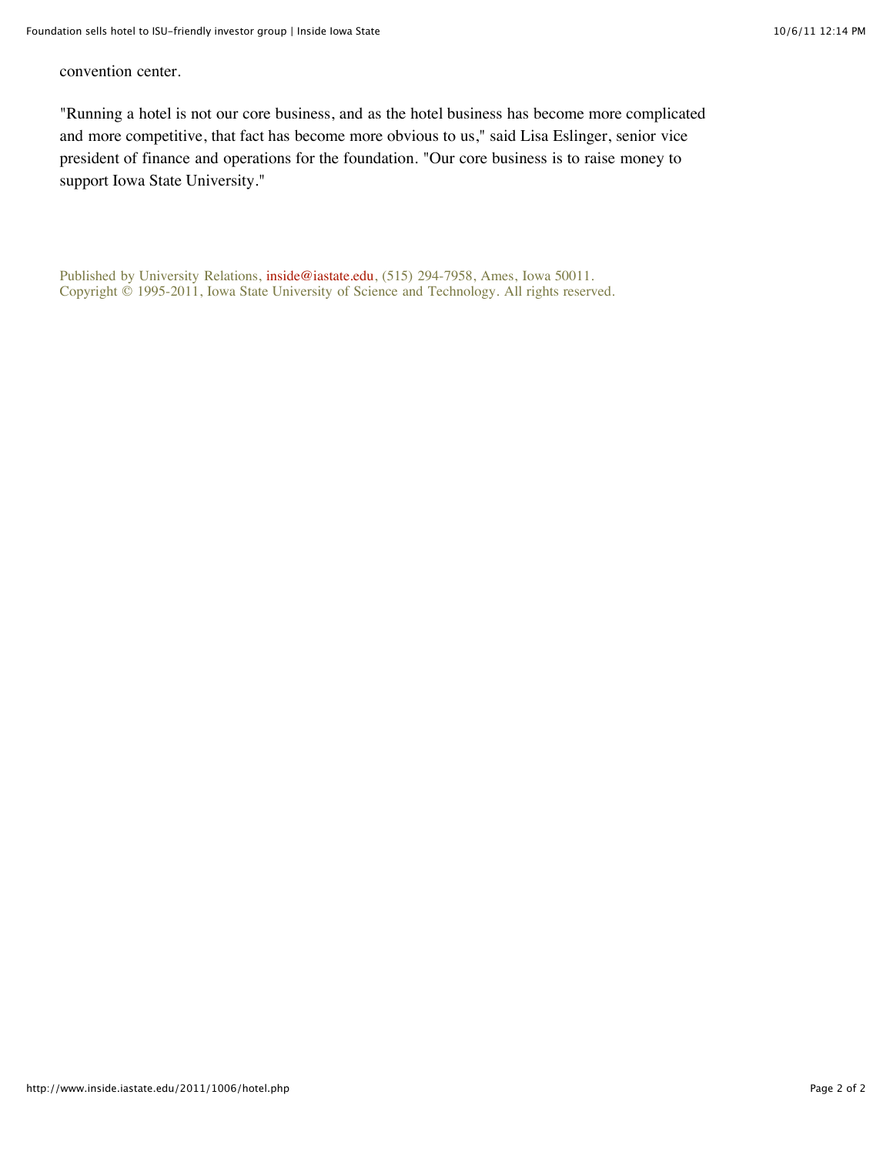convention center.

"Running a hotel is not our core business, and as the hotel business has become more complicated and more competitive, that fact has become more obvious to us," said Lisa Eslinger, senior vice president of finance and operations for the foundation. "Our core business is to raise money to support Iowa State University."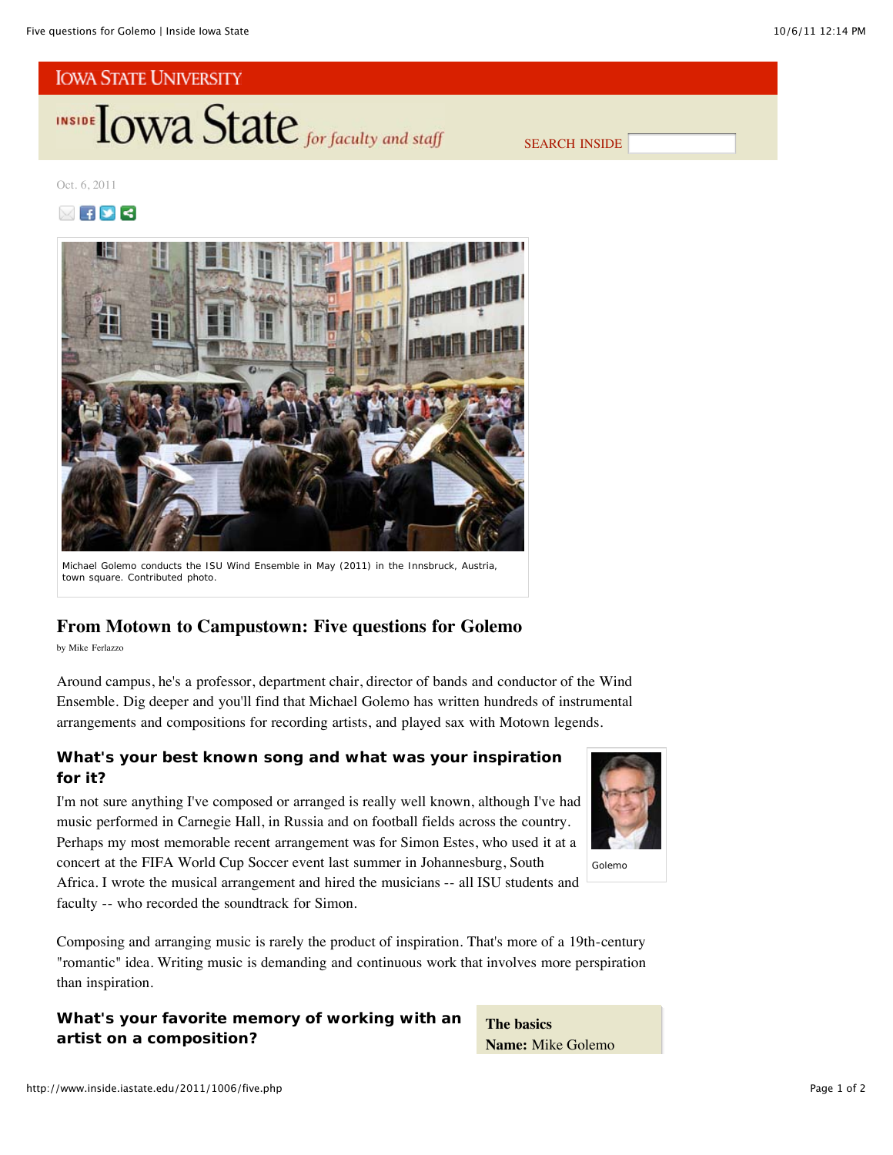

SEARCH INSIDE

## Oct. 6, 2011





Michael Golemo conducts the ISU Wind Ensemble in May (2011) in the Innsbruck, Austria, town square. *Contributed photo*.

## **From Motown to Campustown: Five questions for Golemo**

by Mike Ferlazzo

Around campus, he's a professor, department chair, director of bands and conductor of the Wind Ensemble. Dig deeper and you'll find that Michael Golemo has written hundreds of instrumental arrangements and compositions for recording artists, and played sax with Motown legends.

## **What's your best known song and what was your inspiration for it?**

I'm not sure anything I've composed or arranged is really well known, although I've had music performed in Carnegie Hall, in Russia and on football fields across the country. Perhaps my most memorable recent arrangement was for Simon Estes, who used it at a concert at the FIFA World Cup Soccer event last summer in Johannesburg, South Africa. I wrote the musical arrangement and hired the musicians -- all ISU students and faculty -- who recorded the soundtrack for Simon.



Golemo

Composing and arranging music is rarely the product of inspiration. That's more of a 19th-century "romantic" idea. Writing music is demanding and continuous work that involves more perspiration than inspiration.

## **What's your favorite memory of working with an artist on a composition?**

**The basics Name:** Mike Golemo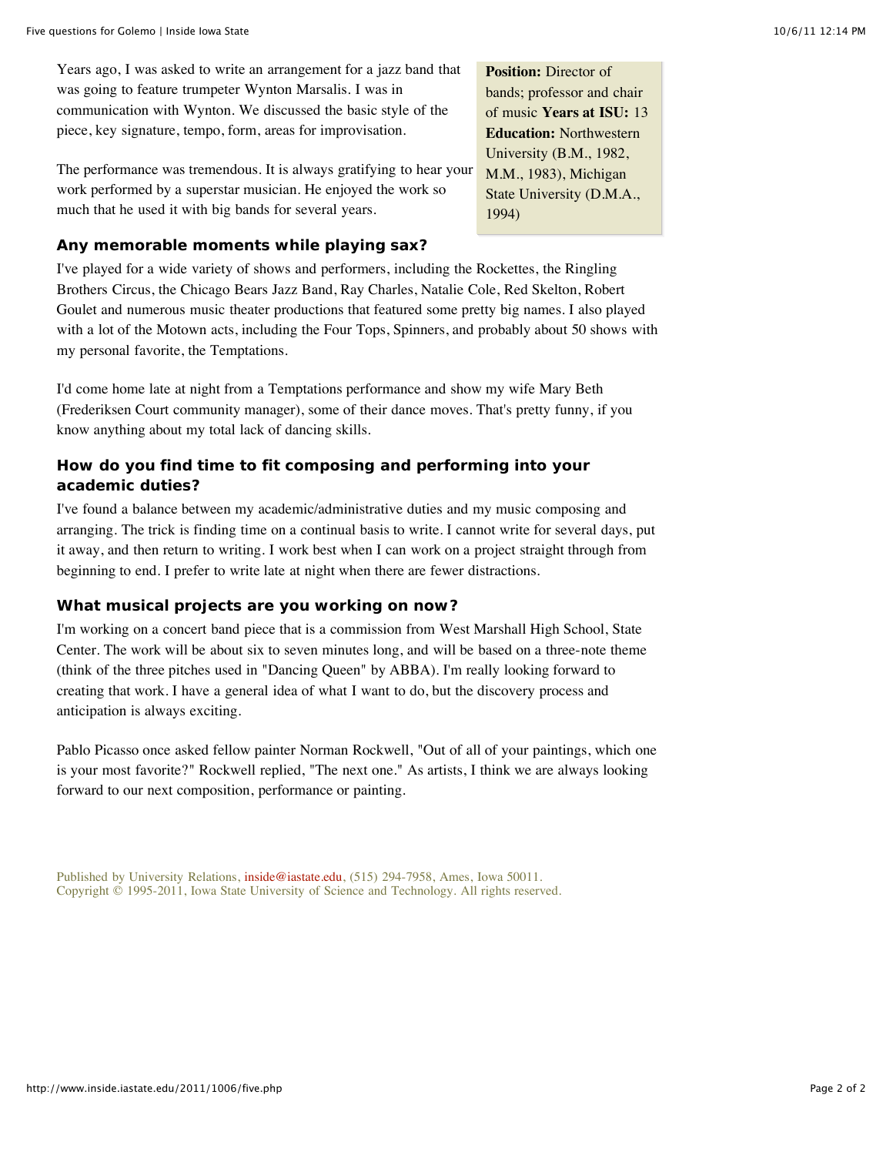Years ago, I was asked to write an arrangement for a jazz band that was going to feature trumpeter Wynton Marsalis. I was in communication with Wynton. We discussed the basic style of the piece, key signature, tempo, form, areas for improvisation.

The performance was tremendous. It is always gratifying to hear your work performed by a superstar musician. He enjoyed the work so much that he used it with big bands for several years.

**Position:** Director of bands; professor and chair of music **Years at ISU:** 13 **Education:** Northwestern University (B.M., 1982, M.M., 1983), Michigan State University (D.M.A., 1994)

## **Any memorable moments while playing sax?**

I've played for a wide variety of shows and performers, including the Rockettes, the Ringling Brothers Circus, the Chicago Bears Jazz Band, Ray Charles, Natalie Cole, Red Skelton, Robert Goulet and numerous music theater productions that featured some pretty big names. I also played with a lot of the Motown acts, including the Four Tops, Spinners, and probably about 50 shows with my personal favorite, the Temptations.

I'd come home late at night from a Temptations performance and show my wife Mary Beth (Frederiksen Court community manager), some of their dance moves. That's pretty funny, if you know anything about my total lack of dancing skills.

## **How do you find time to fit composing and performing into your academic duties?**

I've found a balance between my academic/administrative duties and my music composing and arranging. The trick is finding time on a continual basis to write. I cannot write for several days, put it away, and then return to writing. I work best when I can work on a project straight through from beginning to end. I prefer to write late at night when there are fewer distractions.

## **What musical projects are you working on now?**

I'm working on a concert band piece that is a commission from West Marshall High School, State Center. The work will be about six to seven minutes long, and will be based on a three-note theme (think of the three pitches used in "Dancing Queen" by ABBA). I'm really looking forward to creating that work. I have a general idea of what I want to do, but the discovery process and anticipation is always exciting.

Pablo Picasso once asked fellow painter Norman Rockwell, "Out of all of your paintings, which one is your most favorite?" Rockwell replied, "The next one." As artists, I think we are always looking forward to our next composition, performance or painting.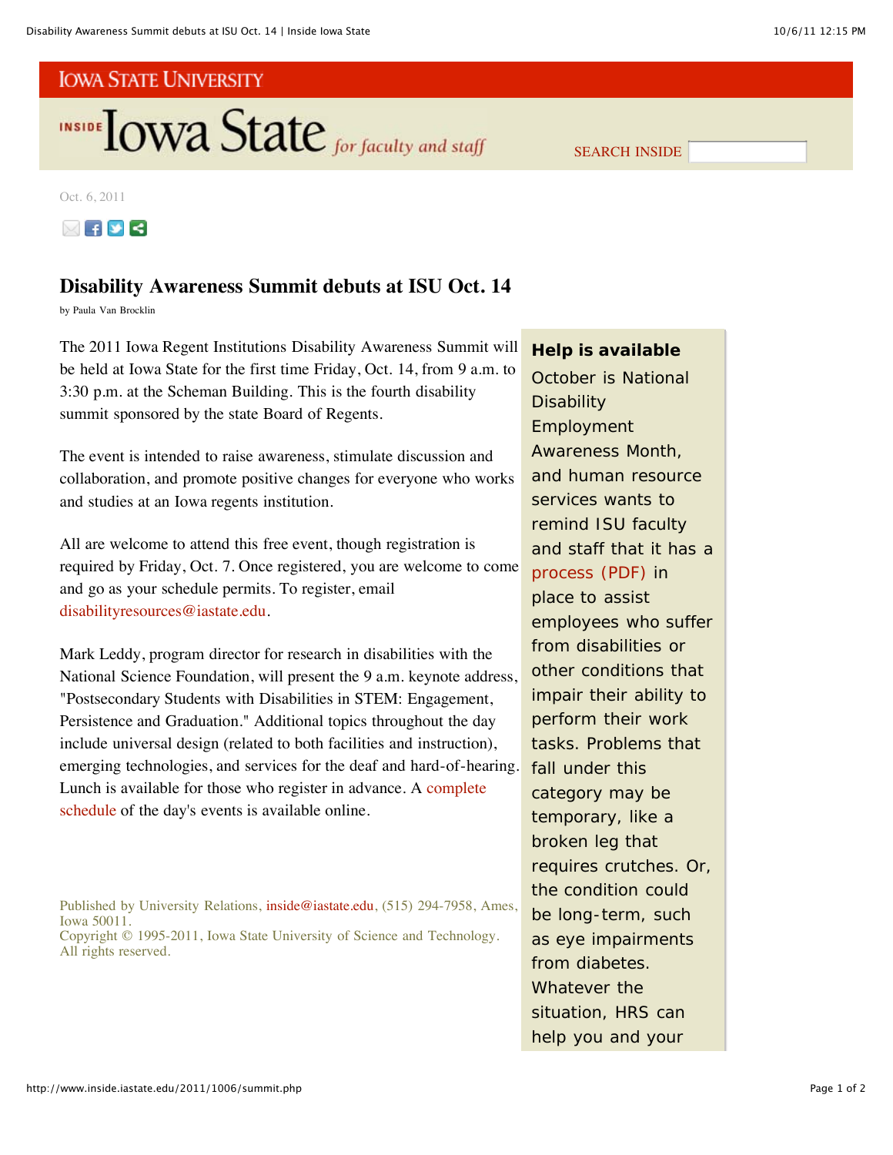

Oct. 6, 2011



## **Disability Awareness Summit debuts at ISU Oct. 14**

by Paula Van Brocklin

The 2011 Iowa Regent Institutions Disability Awareness Summit will be held at Iowa State for the first time Friday, Oct. 14, from 9 a.m. to 3:30 p.m. at the Scheman Building. This is the fourth disability summit sponsored by the state Board of Regents.

The event is intended to raise awareness, stimulate discussion and collaboration, and promote positive changes for everyone who works and studies at an Iowa regents institution.

All are welcome to attend this free event, though registration is required by Friday, Oct. 7. Once registered, you are welcome to come and go as your schedule permits. To register, email disabilityresources@iastate.edu.

Mark Leddy, program director for research in disabilities with the National Science Foundation, will present the 9 a.m. keynote address, "Postsecondary Students with Disabilities in STEM: Engagement, Persistence and Graduation." Additional topics throughout the day include universal design (related to both facilities and instruction), emerging technologies, and services for the deaf and hard-of-hearing. Lunch is available for those who register in advance. A complete schedule of the day's events is available online.

Published by University Relations, inside@iastate.edu, (515) 294-7958, Ames, Iowa 50011. Copyright © 1995-2011, Iowa State University of Science and Technology. All rights reserved.

## **Help is available**

SEARCH INSIDE

October is National **Disability** Employment Awareness Month, and human resource services wants to remind ISU faculty and staff that it has a process (PDF) in place to assist employees who suffer from disabilities or other conditions that impair their ability to perform their work tasks. Problems that fall under this category may be temporary, like a broken leg that requires crutches. Or, the condition could be long-term, such as eye impairments from diabetes. Whatever the situation, HRS can help you and your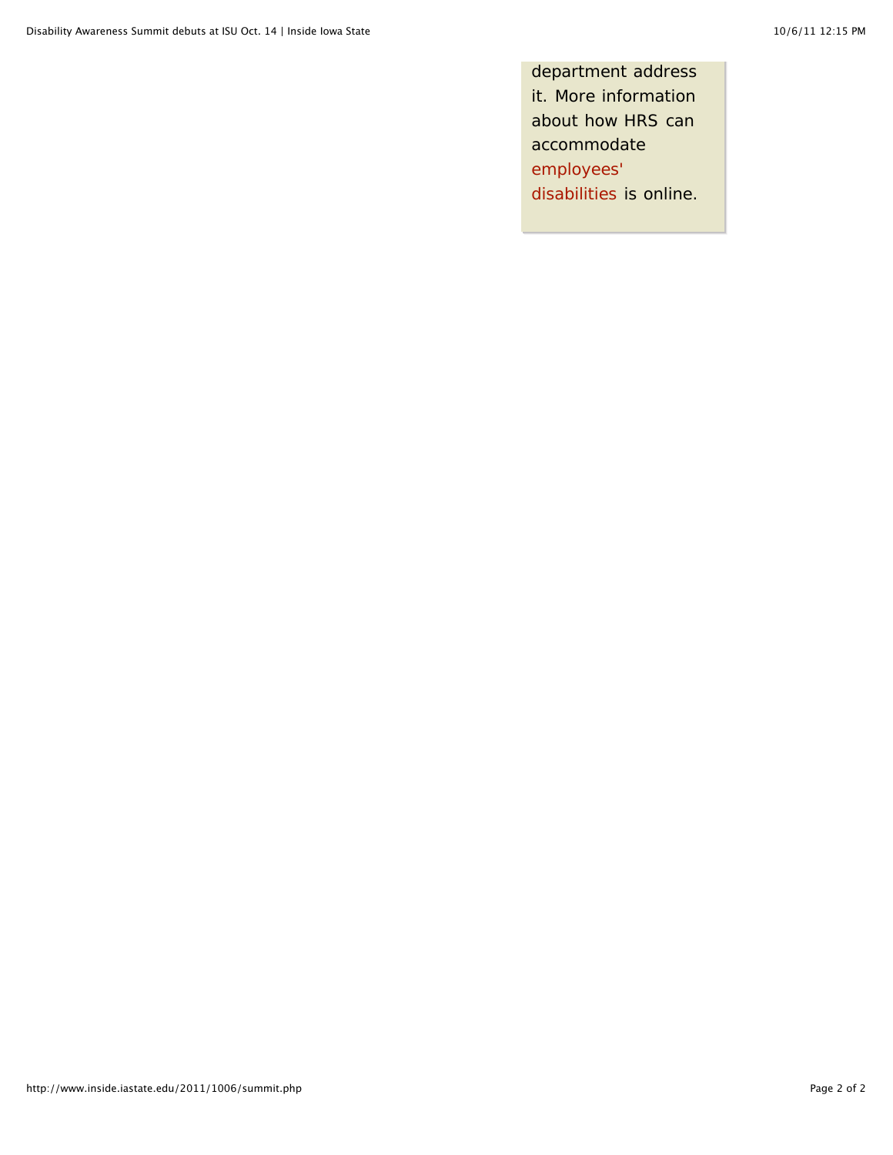department address it. More information about how HRS can accommodate employees' disabilities is online.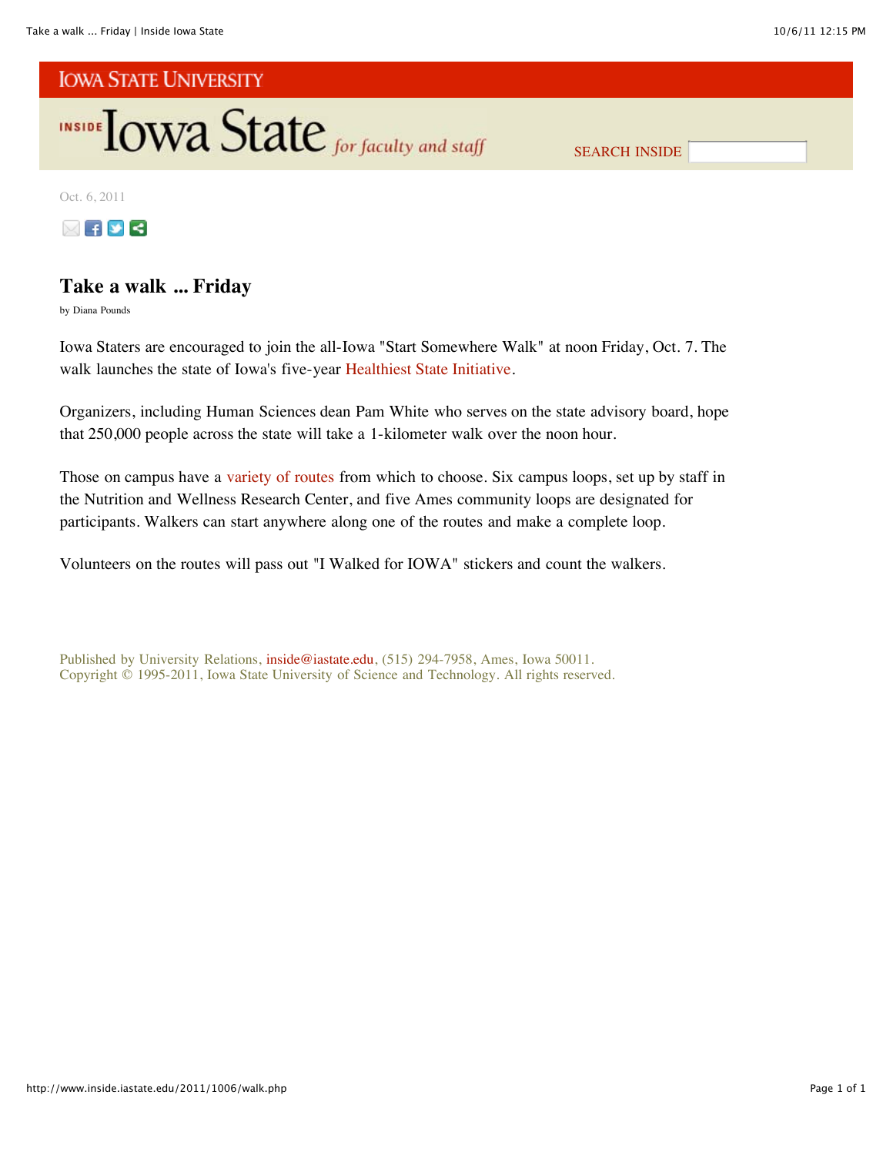

SEARCH INSIDE

Oct. 6, 2011



## **Take a walk ... Friday**

by Diana Pounds

Iowa Staters are encouraged to join the all-Iowa "Start Somewhere Walk" at noon Friday, Oct. 7. The walk launches the state of Iowa's five-year Healthiest State Initiative.

Organizers, including Human Sciences dean Pam White who serves on the state advisory board, hope that 250,000 people across the state will take a 1-kilometer walk over the noon hour.

Those on campus have a variety of routes from which to choose. Six campus loops, set up by staff in the Nutrition and Wellness Research Center, and five Ames community loops are designated for participants. Walkers can start anywhere along one of the routes and make a complete loop.

Volunteers on the routes will pass out "I Walked for IOWA" stickers and count the walkers.